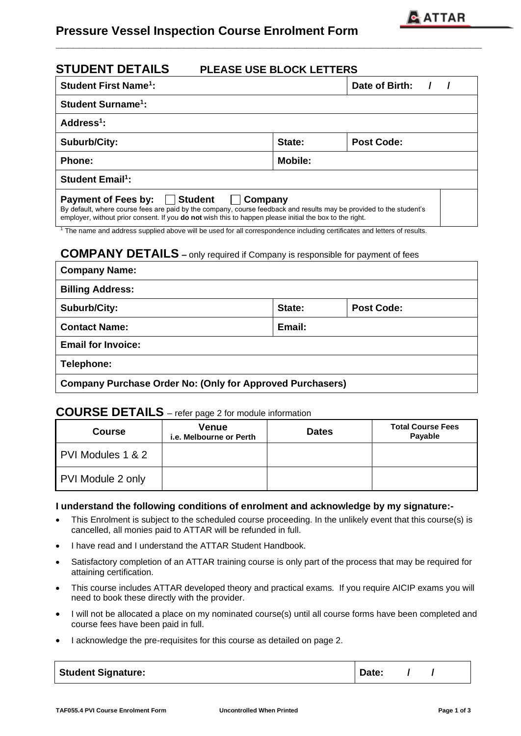

# **Pressure Vessel Inspection Course Enrolment Form**

|                | Date of Birth:                                                                                                                                                                                                                                      |
|----------------|-----------------------------------------------------------------------------------------------------------------------------------------------------------------------------------------------------------------------------------------------------|
|                |                                                                                                                                                                                                                                                     |
|                |                                                                                                                                                                                                                                                     |
| State:         | <b>Post Code:</b>                                                                                                                                                                                                                                   |
| <b>Mobile:</b> |                                                                                                                                                                                                                                                     |
|                |                                                                                                                                                                                                                                                     |
|                | By default, where course fees are paid by the company, course feedback and results may be provided to the student's                                                                                                                                 |
|                | Company<br>employer, without prior consent. If you <b>do not</b> wish this to happen please initial the box to the right.<br>The name and address supplied above will be used for all correspondence including certificates and letters of results. |

**\_\_\_\_\_\_\_\_\_\_\_\_\_\_\_\_\_\_\_\_\_\_\_\_\_\_\_\_\_\_\_\_\_\_\_\_\_\_\_\_\_\_\_\_\_\_\_\_\_\_\_\_\_\_\_\_\_\_\_\_\_\_\_\_\_\_\_\_\_\_\_\_\_** 

# **COMPANY DETAILS –** only required if Company is responsible for payment of fees

| <b>Company Name:</b>                                             |        |            |  |
|------------------------------------------------------------------|--------|------------|--|
| <b>Billing Address:</b>                                          |        |            |  |
| <b>Suburb/City:</b>                                              | State: | Post Code: |  |
| <b>Contact Name:</b>                                             | Email: |            |  |
| <b>Email for Invoice:</b>                                        |        |            |  |
| Telephone:                                                       |        |            |  |
| <b>Company Purchase Order No: (Only for Approved Purchasers)</b> |        |            |  |

# **COURSE DETAILS** – refer page 2 for module information

| <b>Course</b>     | <b>Venue</b><br>i.e. Melbourne or Perth | <b>Dates</b> | <b>Total Course Fees</b><br>Payable |
|-------------------|-----------------------------------------|--------------|-------------------------------------|
| PVI Modules 1 & 2 |                                         |              |                                     |
| PVI Module 2 only |                                         |              |                                     |

#### **I understand the following conditions of enrolment and acknowledge by my signature:-**

- This Enrolment is subject to the scheduled course proceeding. In the unlikely event that this course(s) is cancelled, all monies paid to ATTAR will be refunded in full.
- I have read and I understand the ATTAR Student Handbook.
- Satisfactory completion of an ATTAR training course is only part of the process that may be required for attaining certification.
- This course includes ATTAR developed theory and practical exams. If you require AICIP exams you will need to book these directly with the provider.
- I will not be allocated a place on my nominated course(s) until all course forms have been completed and course fees have been paid in full.
- I acknowledge the pre-requisites for this course as detailed on page 2.

| <b>Student Signature:</b> | Date: |  |  |
|---------------------------|-------|--|--|
|---------------------------|-------|--|--|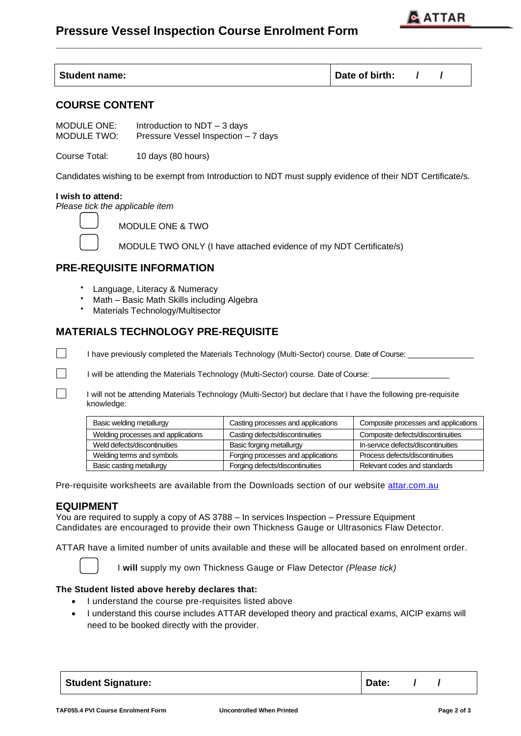# **Pressure Vessel Inspection Course Enrolment Form**



| <b>Student name:</b> | Date of birth: |  |
|----------------------|----------------|--|
|                      |                |  |

**\_\_\_\_\_\_\_\_\_\_\_\_\_\_\_\_\_\_\_\_\_\_\_\_\_\_\_\_\_\_\_\_\_\_\_\_\_\_\_\_\_\_\_\_\_\_\_\_\_\_\_\_\_\_\_\_\_\_\_\_\_\_\_\_\_\_\_\_\_\_\_\_\_** 

## **COURSE CONTENT**

MODULE ONE: Introduction to NDT – 3 days MODULE TWO: Pressure Vessel Inspection – 7 days

Course Total: 10 days (80 hours)

Candidates wishing to be exempt from Introduction to NDT must supply evidence of their NDT Certificate/s.

#### **I wish to attend:**

*Please tick the applicable item*

 $\Box$ 

 $\Box$ 

MODULE ONE & TWO

MODULE TWO ONLY (I have attached evidence of my NDT Certificate/s)

## **PRE-REQUISITE INFORMATION**

- Language, Literacy & Numeracy
- Math Basic Math Skills including Algebra
- Materials Technology/Multisector

## **MATERIALS TECHNOLOGY PRE-REQUISITE**

I have previously completed the Materials Technology (Multi-Sector) course. Date of Course:

I will be attending the Materials Technology (Multi-Sector) course. Date of Course: \_

I will not be attending Materials Technology (Multi-Sector) but declare that I have the following pre-requisite knowledge:

| Basic welding metallurgy           | Casting processes and applications | Composite processes and applications |
|------------------------------------|------------------------------------|--------------------------------------|
| Welding processes and applications | Casting defects/discontinuities    | Composite defects/discontinuities    |
| Weld defects/discontinuities       | Basic forging metallurgy           | In-service defects/discontinuities   |
| Welding terms and symbols          | Forging processes and applications | Process defects/discontinuities      |
| Basic casting metallurgy           | Forging defects/discontinuities    | Relevant codes and standards         |

Pre-requisite worksheets are available from the Downloads section of our website [attar.com.au](http://www.attar.com.au/)

### **EQUIPMENT**

You are required to supply a copy of AS 3788 – In services Inspection – Pressure Equipment Candidates are encouraged to provide their own Thickness Gauge or Ultrasonics Flaw Detector.

ATTAR have a limited number of units available and these will be allocated based on enrolment order.

I **will** supply my own Thickness Gauge or Flaw Detector *(Please tick)*

#### **The Student listed above hereby declares that:**

- I understand the course pre-requisites listed above
- I understand this course includes ATTAR developed theory and practical exams, AICIP exams will need to be booked directly with the provider.

| <b>Student Signature:</b> | Date: |  |
|---------------------------|-------|--|
|---------------------------|-------|--|